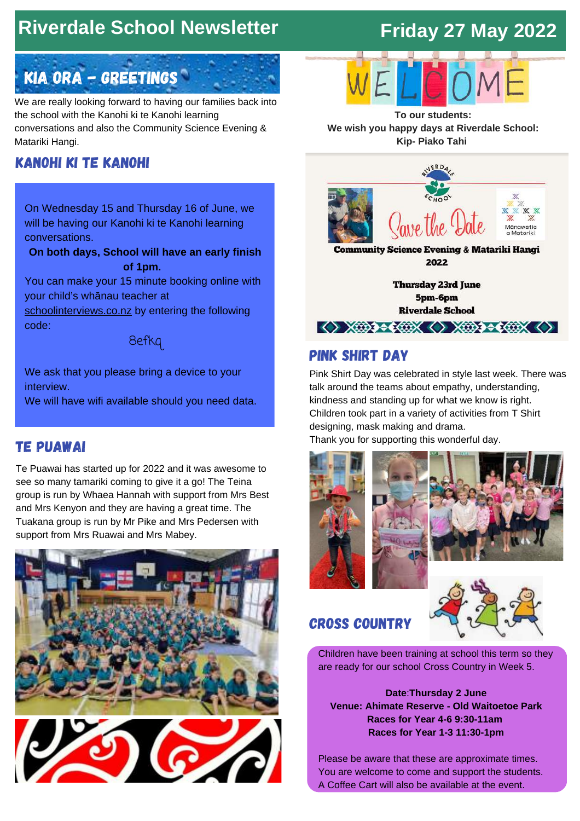# **Riverdale School Newsletter**

# **Friday 27 May 2022**

# Kia Ora - Greetings

We are really looking forward to having our families back into the school with the Kanohi ki te Kanohi learning conversations and also the Community Science Evening & Matariki Hangi.

## kanohi ki te kanohi

On Wednesday 15 and Thursday 16 of June, we will be having our Kanohi ki te Kanohi learning conversations.

**On both days, School will have an early finish of 1pm.**

You can make your 15 minute booking online with your child's whānau teacher at

[schoolinterviews.co.nz](https://www.schoolinterviews.co.nz/) by entering the following code:



We ask that you please bring a device to your interview.

We will have wifi available should you need data.

## te puawai

Te Puawai has started up for 2022 and it was awesome to see so many tamariki coming to give it a go! The Teina group is run by Whaea Hannah with support from Mrs Best and Mrs Kenyon and they are having a great time. The Tuakana group is run by Mr Pike and Mrs Pedersen with support from Mrs Ruawai and Mrs Mabey.







**To our students: We wish you happy days at Riverdale School: Kip- Piako Tahi**



pink shirt day

Pink Shirt Day was celebrated in style last week. There was talk around the teams about empathy, understanding, kindness and standing up for what we know is right. Children took part in a variety of activities from T Shirt designing, mask making and drama. Thank you for supporting this wonderful day.

 $\langle \rangle$  xm  $\rightarrow$  xm  $\langle \rangle$  xm  $\rightarrow$  xm  $\langle \rangle$ 





## cross country



Children have been training at school this term so they are ready for our school Cross Country in Week 5.

**Date**:**Thursday 2 June Venue: Ahimate Reserve - Old Waitoetoe Park Races for Year 4-6 9:30-11am Races for Year 1-3 11:30-1pm**

Please be aware that these are approximate times. You are welcome to come and support the students. A Coffee Cart will also be available at the event.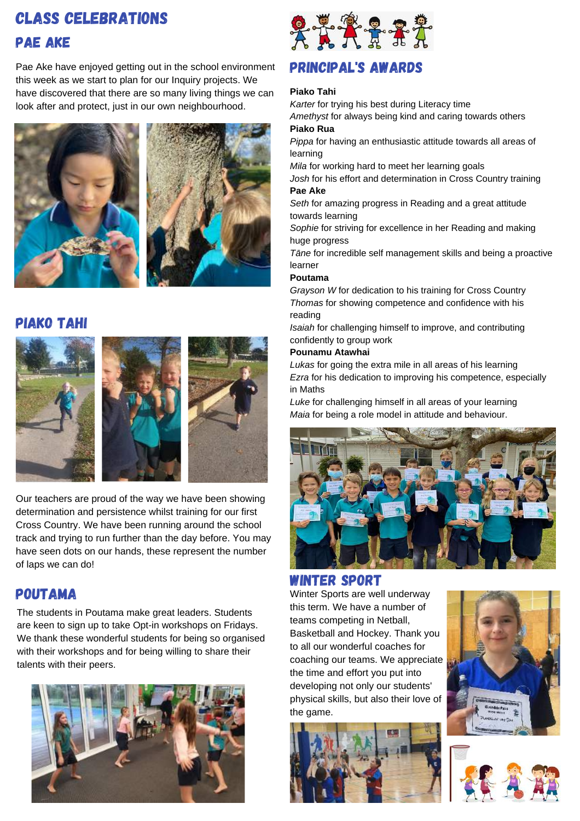## Class celebrations pae ake

Pae Ake have enjoyed getting out in the school environment this week as we start to plan for our Inquiry projects. We have discovered that there are so many living things we can look after and protect, just in our own neighbourhood.





## piako tahi



Our teachers are proud of the way we have been showing determination and persistence whilst training for our first Cross Country. We have been running around the school track and trying to run further than the day before. You may have seen dots on our hands, these represent the number of laps we can do!

## poutama

The students in Poutama make great leaders. Students are keen to sign up to take Opt-in workshops on Fridays. We thank these wonderful students for being so organised with their workshops and for being willing to share their talents with their peers.





## principal's awards

#### **Piako Tahi**

*Karter* for trying his best during Literacy time *Amethyst* for always being kind and caring towards others

#### **Piako Rua**

*Pippa* for having an enthusiastic attitude towards all areas of learning

*Mila* for working hard to meet her learning goals

*Josh* for his effort and determination in Cross Country training **Pae Ake**

*Seth* for amazing progress in Reading and a great attitude towards learning

*Sophie* for striving for excellence in her Reading and making huge progress

*Tāne* for incredible self management skills and being a proactive learner

#### **Poutama**

*Grayson W* for dedication to his training for Cross Country *Thomas* for showing competence and confidence with his reading

*Isaiah* for challenging himself to improve, and contributing confidently to group work

#### **Pounamu Atawhai**

*Lukas* for going the extra mile in all areas of his learning *Ezra* for his dedication to improving his competence, especially in Maths

*Luke* for challenging himself in all areas of your learning *Maia* for being a role model in attitude and behaviour.



#### Winter Sport

Winter Sports are well underway this term. We have a number of teams competing in Netball, Basketball and Hockey. Thank you to all our wonderful coaches for coaching our teams. We appreciate the time and effort you put into developing not only our students' physical skills, but also their love of the game.